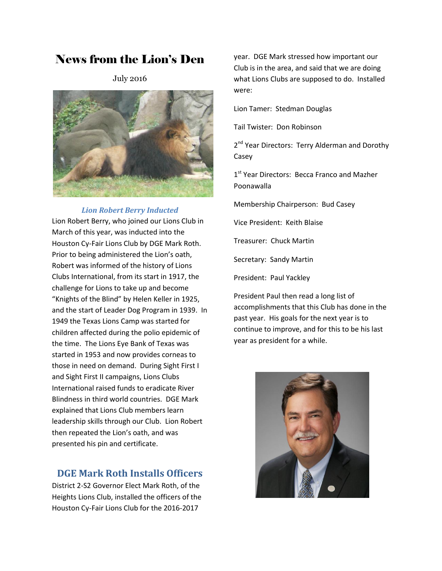# News from the Lion's Den

July 2016



#### *Lion Robert Berry Inducted*

Lion Robert Berry, who joined our Lions Club in March of this year, was inducted into the Houston Cy-Fair Lions Club by DGE Mark Roth. Prior to being administered the Lion's oath, Robert was informed of the history of Lions Clubs International, from its start in 1917, the challenge for Lions to take up and become "Knights of the Blind" by Helen Keller in 1925, and the start of Leader Dog Program in 1939. In 1949 the Texas Lions Camp was started for children affected during the polio epidemic of the time. The Lions Eye Bank of Texas was started in 1953 and now provides corneas to those in need on demand. During Sight First I and Sight First II campaigns, Lions Clubs International raised funds to eradicate River Blindness in third world countries. DGE Mark explained that Lions Club members learn leadership skills through our Club. Lion Robert then repeated the Lion's oath, and was presented his pin and certificate.

## **DGE Mark Roth Installs Officers**

District 2-S2 Governor Elect Mark Roth, of the Heights Lions Club, installed the officers of the Houston Cy-Fair Lions Club for the 2016-2017

year. DGE Mark stressed how important our Club is in the area, and said that we are doing what Lions Clubs are supposed to do. Installed were:

Lion Tamer: Stedman Douglas

Tail Twister: Don Robinson

2<sup>nd</sup> Year Directors: Terry Alderman and Dorothy Casey

1<sup>st</sup> Year Directors: Becca Franco and Mazher Poonawalla

Membership Chairperson: Bud Casey

Vice President: Keith Blaise

Treasurer: Chuck Martin

Secretary: Sandy Martin

President: Paul Yackley

President Paul then read a long list of accomplishments that this Club has done in the past year. His goals for the next year is to continue to improve, and for this to be his last year as president for a while.

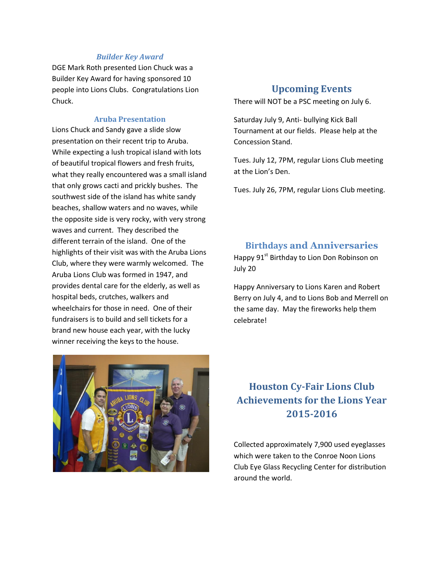#### *Builder Key Award*

DGE Mark Roth presented Lion Chuck was a Builder Key Award for having sponsored 10 people into Lions Clubs. Congratulations Lion Chuck.

#### **Aruba Presentation**

Lions Chuck and Sandy gave a slide slow presentation on their recent trip to Aruba. While expecting a lush tropical island with lots of beautiful tropical flowers and fresh fruits, what they really encountered was a small island that only grows cacti and prickly bushes. The southwest side of the island has white sandy beaches, shallow waters and no waves, while the opposite side is very rocky, with very strong waves and current. They described the different terrain of the island. One of the highlights of their visit was with the Aruba Lions Club, where they were warmly welcomed. The Aruba Lions Club was formed in 1947, and provides dental care for the elderly, as well as hospital beds, crutches, walkers and wheelchairs for those in need. One of their fundraisers is to build and sell tickets for a brand new house each year, with the lucky winner receiving the keys to the house.

## **Upcoming Events**

There will NOT be a PSC meeting on July 6.

Saturday July 9, Anti- bullying Kick Ball Tournament at our fields. Please help at the Concession Stand.

Tues. July 12, 7PM, regular Lions Club meeting at the Lion's Den.

Tues. July 26, 7PM, regular Lions Club meeting.

### **Birthdays and Anniversaries**

Happy 91<sup>st</sup> Birthday to Lion Don Robinson on July 20

Happy Anniversary to Lions Karen and Robert Berry on July 4, and to Lions Bob and Merrell on the same day. May the fireworks help them celebrate!

# **Houston Cy-Fair Lions Club Achievements for the Lions Year 2015-2016**

Collected approximately 7,900 used eyeglasses which were taken to the Conroe Noon Lions Club Eye Glass Recycling Center for distribution around the world.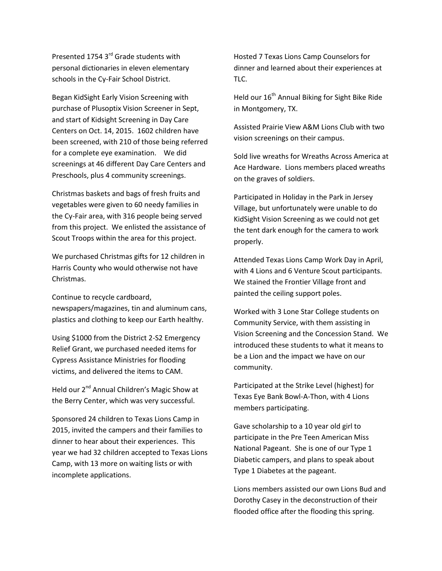Presented 1754 3<sup>rd</sup> Grade students with personal dictionaries in eleven elementary schools in the Cy-Fair School District.

Began KidSight Early Vision Screening with purchase of Plusoptix Vision Screener in Sept, and start of Kidsight Screening in Day Care Centers on Oct. 14, 2015. 1602 children have been screened, with 210 of those being referred for a complete eye examination. We did screenings at 46 different Day Care Centers and Preschools, plus 4 community screenings.

Christmas baskets and bags of fresh fruits and vegetables were given to 60 needy families in the Cy-Fair area, with 316 people being served from this project. We enlisted the assistance of Scout Troops within the area for this project.

We purchased Christmas gifts for 12 children in Harris County who would otherwise not have Christmas.

Continue to recycle cardboard,

newspapers/magazines, tin and aluminum cans, plastics and clothing to keep our Earth healthy.

Using \$1000 from the District 2-S2 Emergency Relief Grant, we purchased needed items for Cypress Assistance Ministries for flooding victims, and delivered the items to CAM.

Held our 2<sup>nd</sup> Annual Children's Magic Show at the Berry Center, which was very successful.

Sponsored 24 children to Texas Lions Camp in 2015, invited the campers and their families to dinner to hear about their experiences. This year we had 32 children accepted to Texas Lions Camp, with 13 more on waiting lists or with incomplete applications.

Hosted 7 Texas Lions Camp Counselors for dinner and learned about their experiences at TLC.

Held our 16<sup>th</sup> Annual Biking for Sight Bike Ride in Montgomery, TX.

Assisted Prairie View A&M Lions Club with two vision screenings on their campus.

Sold live wreaths for Wreaths Across America at Ace Hardware. Lions members placed wreaths on the graves of soldiers.

Participated in Holiday in the Park in Jersey Village, but unfortunately were unable to do KidSight Vision Screening as we could not get the tent dark enough for the camera to work properly.

Attended Texas Lions Camp Work Day in April, with 4 Lions and 6 Venture Scout participants. We stained the Frontier Village front and painted the ceiling support poles.

Worked with 3 Lone Star College students on Community Service, with them assisting in Vision Screening and the Concession Stand. We introduced these students to what it means to be a Lion and the impact we have on our community.

Participated at the Strike Level (highest) for Texas Eye Bank Bowl-A-Thon, with 4 Lions members participating.

Gave scholarship to a 10 year old girl to participate in the Pre Teen American Miss National Pageant. She is one of our Type 1 Diabetic campers, and plans to speak about Type 1 Diabetes at the pageant.

Lions members assisted our own Lions Bud and Dorothy Casey in the deconstruction of their flooded office after the flooding this spring.